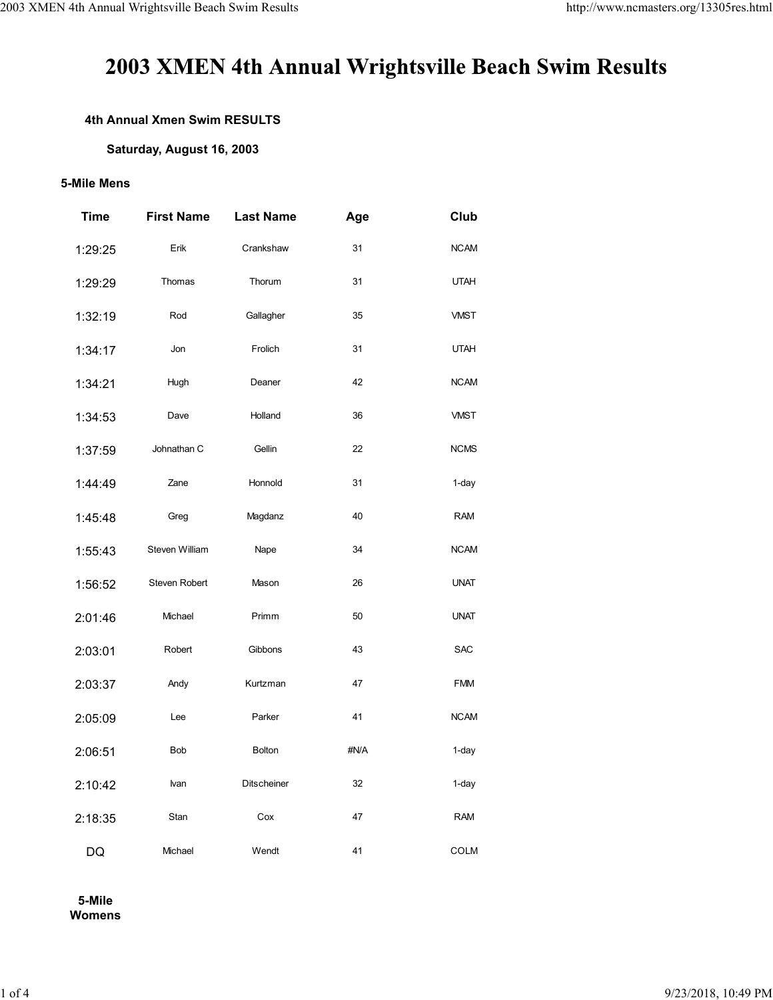# 2003 XMEN 4th Annual Wrightsville Beach Swim Results

### **4th Annual Xmen Swim RESULTS**

#### **Saturday, August 16, 2003**

#### **5-Mile Mens**

| <b>Time</b> | <b>First Name</b> | <b>Last Name</b>   | Age  | Club        |
|-------------|-------------------|--------------------|------|-------------|
| 1:29:25     | Erik              | Crankshaw          | 31   | <b>NCAM</b> |
| 1:29:29     | Thomas            | Thorum             | 31   | <b>UTAH</b> |
| 1:32:19     | Rod               | Gallagher          | 35   | <b>VMST</b> |
| 1:34:17     | Jon               | Frolich            | 31   | <b>UTAH</b> |
| 1:34:21     | Hugh              | Deaner             | 42   | <b>NCAM</b> |
| 1:34:53     | Dave              | Holland            | 36   | <b>VMST</b> |
| 1:37:59     | Johnathan C       | Gellin             | 22   | <b>NCMS</b> |
| 1:44:49     | Zane              | Honnold            | 31   | 1-day       |
| 1:45:48     | Greg              | Magdanz            | 40   | <b>RAM</b>  |
| 1:55:43     | Steven William    | Nape               | 34   | <b>NCAM</b> |
| 1:56:52     | Steven Robert     | Mason              | 26   | <b>UNAT</b> |
| 2:01:46     | Michael           | Primm              | 50   | <b>UNAT</b> |
| 2:03:01     | Robert            | Gibbons            | 43   | <b>SAC</b>  |
| 2:03:37     | Andy              | Kurtzman           | 47   | <b>FMM</b>  |
| 2:05:09     | Lee               | Parker             | 41   | <b>NCAM</b> |
| 2:06:51     | Bob               | <b>Bolton</b>      | #N/A | 1-day       |
| 2:10:42     | lvan              | <b>Ditscheiner</b> | 32   | 1-day       |
| 2:18:35     | Stan              | Cox                | 47   | <b>RAM</b>  |
| DQ          | Michael           | Wendt              | 41   | <b>COLM</b> |

**5-Mile Womens**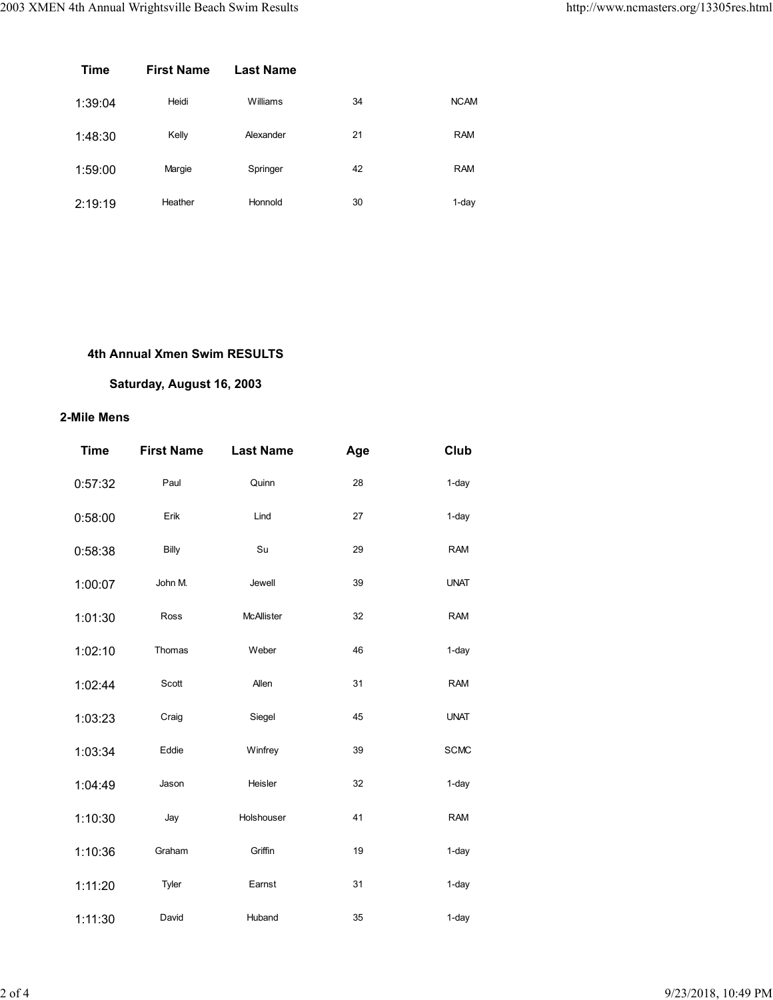| <b>Time</b> | <b>First Name</b> | <b>Last Name</b> |    |             |
|-------------|-------------------|------------------|----|-------------|
| 1:39:04     | Heidi             | Williams         | 34 | <b>NCAM</b> |
| 1:48:30     | Kelly             | Alexander        | 21 | <b>RAM</b>  |
| 1:59:00     | Margie            | Springer         | 42 | <b>RAM</b>  |
| 2:19:19     | Heather           | Honnold          | 30 | 1-day       |

## **4th Annual Xmen Swim RESULTS**

## **Saturday, August 16, 2003**

## **2-Mile Mens**

| <b>Time</b> | <b>First Name</b> | <b>Last Name</b>  | Age | Club        |
|-------------|-------------------|-------------------|-----|-------------|
| 0:57:32     | Paul              | Quinn             | 28  | $1$ -day    |
| 0:58:00     | Erik              | Lind              | 27  | $1$ -day    |
| 0:58:38     | Billy             | Su                | 29  | <b>RAM</b>  |
| 1:00:07     | John M.           | Jewell            | 39  | <b>UNAT</b> |
| 1:01:30     | Ross              | <b>McAllister</b> | 32  | <b>RAM</b>  |
| 1:02:10     | Thomas            | Weber             | 46  | $1$ -day    |
| 1:02:44     | Scott             | Allen             | 31  | <b>RAM</b>  |
| 1:03:23     | Craig             | Siegel            | 45  | <b>UNAT</b> |
| 1:03:34     | Eddie             | Winfrey           | 39  | <b>SCMC</b> |
| 1:04:49     | Jason             | Heisler           | 32  | $1$ -day    |
| 1:10:30     | Jay               | Holshouser        | 41  | <b>RAM</b>  |
| 1:10:36     | Graham            | Griffin           | 19  | $1$ -day    |
| 1:11:20     | Tyler             | Earnst            | 31  | $1$ -day    |
| 1:11:30     | David             | Huband            | 35  | $1$ -day    |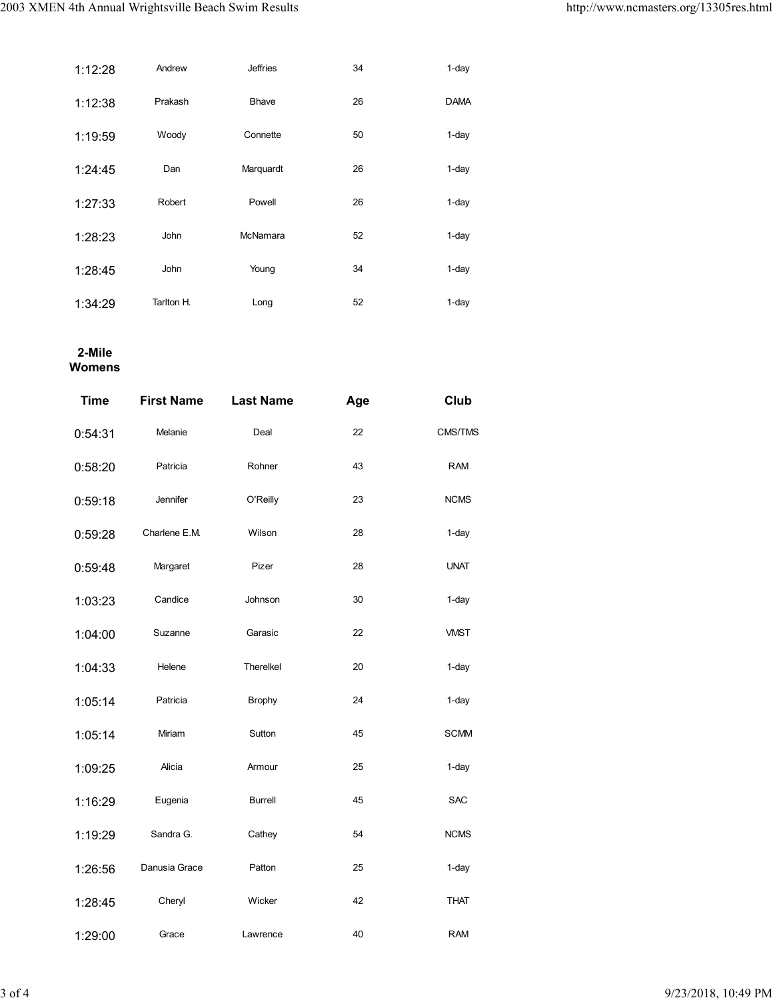| 1:12:28 | Andrew      | <b>Jeffries</b> | 34 | $1$ -day    |
|---------|-------------|-----------------|----|-------------|
| 1:12:38 | Prakash     | <b>Bhave</b>    | 26 | <b>DAMA</b> |
| 1:19:59 | Woody       | Connette        | 50 | $1$ -day    |
| 1:24:45 | Dan         | Marquardt       | 26 | 1-day       |
| 1:27:33 | Robert      | Powell          | 26 | $1$ -day    |
| 1:28:23 | <b>John</b> | McNamara        | 52 | $1$ -day    |
| 1:28:45 | <b>John</b> | Young           | 34 | $1$ -day    |
| 1:34:29 | Tarlton H.  | Long            | 52 | 1-day       |

### **2-Mile Womens**

| <b>Time</b> | <b>First Name</b> | <b>Last Name</b> | Age | Club        |
|-------------|-------------------|------------------|-----|-------------|
| 0:54:31     | Melanie           | Deal             | 22  | CMS/TMS     |
| 0:58:20     | Patricia          | Rohner           | 43  | <b>RAM</b>  |
| 0:59:18     | Jennifer          | O'Reilly         | 23  | <b>NCMS</b> |
| 0:59:28     | Charlene E.M.     | Wilson           | 28  | $1$ -day    |
| 0:59:48     | Margaret          | Pizer            | 28  | <b>UNAT</b> |
| 1:03:23     | Candice           | Johnson          | 30  | $1$ -day    |
| 1:04:00     | Suzanne           | Garasic          | 22  | <b>VMST</b> |
| 1:04:33     | Helene            | Therelkel        | 20  | $1$ -day    |
| 1:05:14     | Patricia          | <b>Brophy</b>    | 24  | $1$ -day    |
| 1:05:14     | Miriam            | Sutton           | 45  | <b>SCMM</b> |
| 1:09:25     | Alicia            | Armour           | 25  | $1$ -day    |
| 1:16:29     | Eugenia           | <b>Burrell</b>   | 45  | <b>SAC</b>  |
| 1:19:29     | Sandra G.         | Cathey           | 54  | <b>NCMS</b> |
| 1:26:56     | Danusia Grace     | Patton           | 25  | $1$ -day    |
| 1:28:45     | Cheryl            | Wicker           | 42  | <b>THAT</b> |
| 1:29:00     | Grace             | Lawrence         | 40  | <b>RAM</b>  |